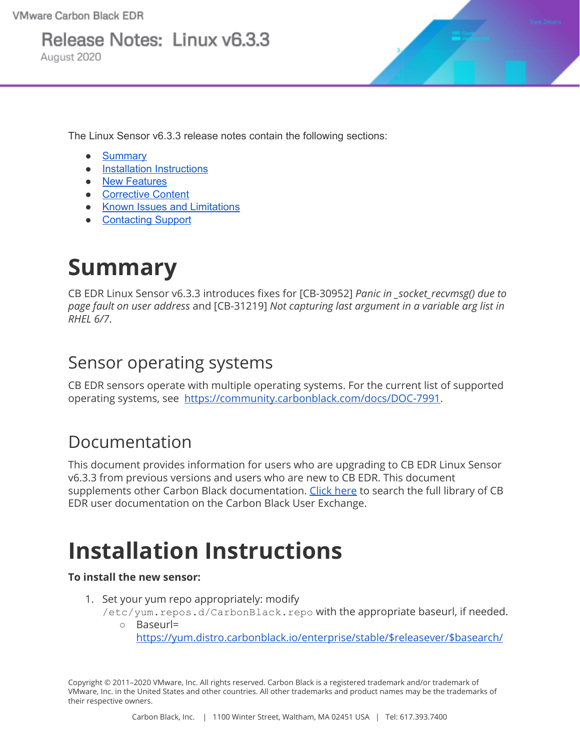Release Notes: Linux v6.3.3

August 2020

The Linux Sensor v6.3.3 release notes contain the following sections:

- [Summary](#page-0-0)
- Installation [Instructions](#page-0-1)
- New [Features](#page-2-0)
- [Corrective](#page-2-1) Content
- Known Issues and [Limitations](#page-2-2)
- [Contacting](#page-4-0) Support

## <span id="page-0-0"></span>**Summary**

CB EDR Linux Sensor v6.3.3 introduces fixes for [CB-30952] *Panic in \_socket\_recvmsg() due to page fault on user address* and [CB-31219] *Not capturing last argument in a variable arg list in RHEL 6/7*.

### Sensor operating systems

CB EDR sensors operate with multiple operating systems. For the current list of supported operating systems, see [https://community.carbonblack.com/docs/DOC-7991.](https://community.carbonblack.com/docs/DOC-7991)

### Documentation

This document provides information for users who are upgrading to CB EDR Linux Sensor v6.3.3 from previous versions and users who are new to CB EDR. This document supplements other Carbon Black documentation. Click [here](https://community.carbonblack.com/t5/tag/cb%20response/tg-p/board-id/product-docs-news) to search the full library of CB EDR user documentation on the Carbon Black User Exchange.

## <span id="page-0-1"></span>**Installation Instructions**

#### **To install the new sensor:**

- 1. Set your yum repo appropriately: modify
	- /etc/yum.repos.d/CarbonBlack.repo with the appropriate baseurl, if needed. ○ Baseurl=

[https://yum.distro.carbonblack.io/enterprise/stable/\\$releasever/\\$basearch/](https://yum.distro.carbonblack.io/enterprise/stable/$releasever/$basearch/)

Copyright © 2011–2020 VMware, Inc. All rights reserved. Carbon Black is a registered trademark and/or trademark of VMware, Inc. in the United States and other countries. All other trademarks and product names may be the trademarks of their respective owners.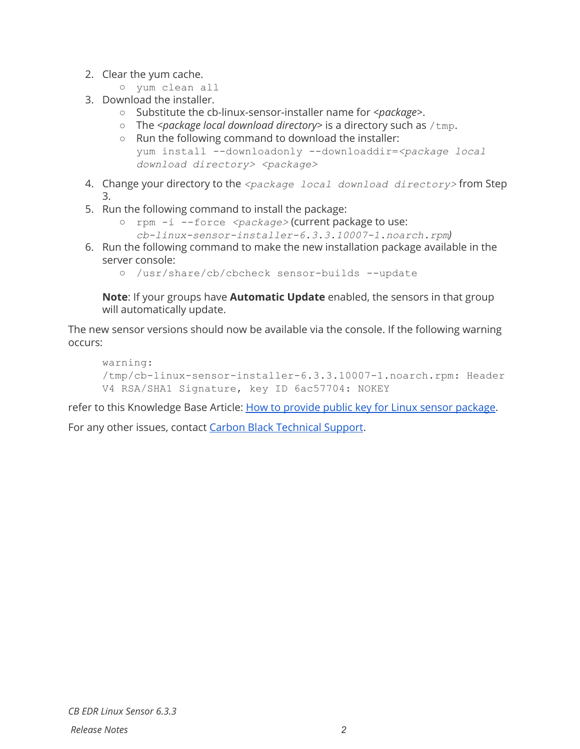- 2. Clear the yum cache.
	- yum clean all
- 3. Download the installer.
	- Substitute the cb-linux-sensor-installer name for *<package>*.
	- The *<package local download directory>* is a directory such as /tmp.
	- Run the following command to download the installer: yum install --downloadonly --downloaddir=*<package local download directory> <package>*
- 4. Change your directory to the *<package local download directory>* from Step 3.
- 5. Run the following command to install the package:
	- rpm -i --force *<package>* (current package to use:
		- *cb-linux-sensor-installer-6.3.3.10007-1.noarch.rpm)*
- 6. Run the following command to make the new installation package available in the server console:
	- *○* /usr/share/cb/cbcheck sensor-builds --update

**Note**: If your groups have **Automatic Update** enabled, the sensors in that group will automatically update.

The new sensor versions should now be available via the console. If the following warning occurs:

```
warning:
/tmp/cb-linux-sensor-installer-6.3.3.10007-1.noarch.rpm: Header
V4 RSA/SHA1 Signature, key ID 6ac57704: NOKEY
```
refer to this Knowledge Base Article: How to provide public key for Linux sensor [package.](https://community.carbonblack.com/t5/Knowledge-Base/Cb-Response-How-to-provide-public-key-for-Linux-sensor-package/ta-p/63465)

For any other issues, contact Carbon Black [Technical](#page-4-0) Support.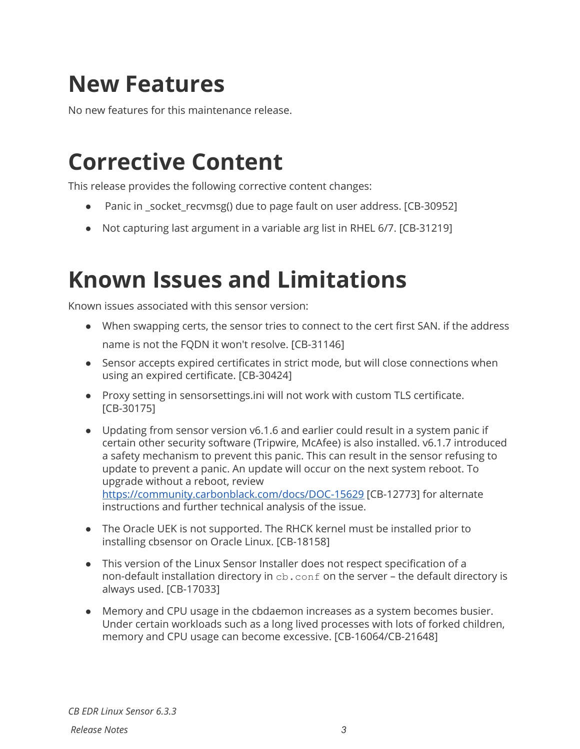## <span id="page-2-0"></span>**New Features**

No new features for this maintenance release.

### <span id="page-2-1"></span>**Corrective Content**

This release provides the following corrective content changes:

- Panic in \_socket\_recvmsg() due to page fault on user address. [CB-30952]
- Not capturing last argument in a variable arg list in RHEL 6/7. [CB-31219]

### <span id="page-2-2"></span>**Known Issues and Limitations**

Known issues associated with this sensor version:

- When swapping certs, the sensor tries to connect to the cert first SAN. if the address name is not the FQDN it won't resolve. [CB-31146]
- Sensor accepts expired certificates in strict mode, but will close connections when using an expired certificate. [CB-30424]
- Proxy setting in sensorsettings.ini will not work with custom TLS certificate. [CB-30175]
- Updating from sensor version v6.1.6 and earlier could result in a system panic if certain other security software (Tripwire, McAfee) is also installed. v6.1.7 introduced a safety mechanism to prevent this panic. This can result in the sensor refusing to update to prevent a panic. An update will occur on the next system reboot. To upgrade without a reboot, review <https://community.carbonblack.com/docs/DOC-15629> [CB-12773] for alternate instructions and further technical analysis of the issue.
- The Oracle UEK is not supported. The RHCK kernel must be installed prior to installing cbsensor on Oracle Linux. [CB-18158]
- This version of the Linux Sensor Installer does not respect specification of a non-default installation directory in cb. conf on the server - the default directory is always used. [CB-17033]
- Memory and CPU usage in the cbdaemon increases as a system becomes busier. Under certain workloads such as a long lived processes with lots of forked children, memory and CPU usage can become excessive. [CB-16064/CB-21648]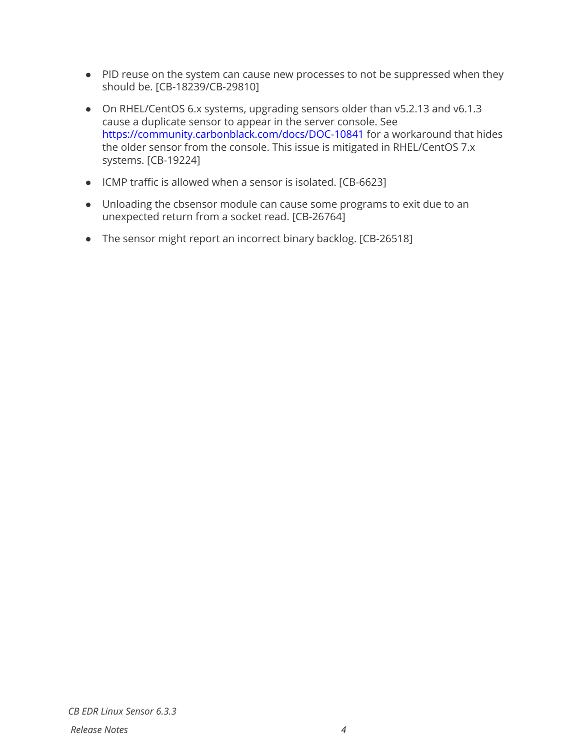- PID reuse on the system can cause new processes to not be suppressed when they should be. [CB-18239/CB-29810]
- On RHEL/CentOS 6.x systems, upgrading sensors older than v5.2.13 and v6.1.3 cause a duplicate sensor to appear in the server console. See <https://community.carbonblack.com/docs/DOC-10841> for a workaround that hides the older sensor from the console. This issue is mitigated in RHEL/CentOS 7.x systems. [CB-19224]
- ICMP traffic is allowed when a sensor is isolated. [CB-6623]
- Unloading the cbsensor module can cause some programs to exit due to an unexpected return from a socket read. [CB-26764]
- The sensor might report an incorrect binary backlog. [CB-26518]